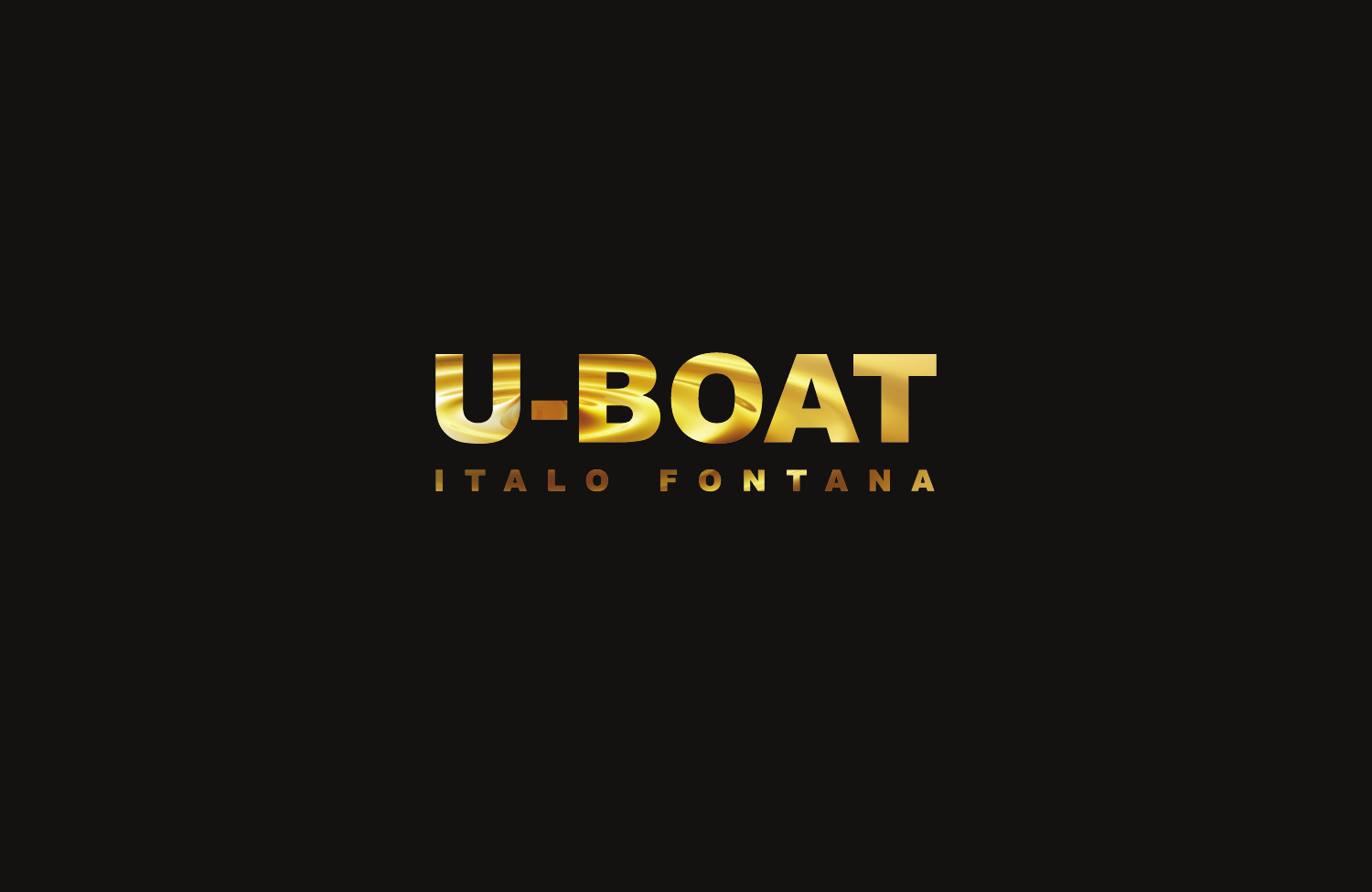# U-BOAT **ITALO FONTANA**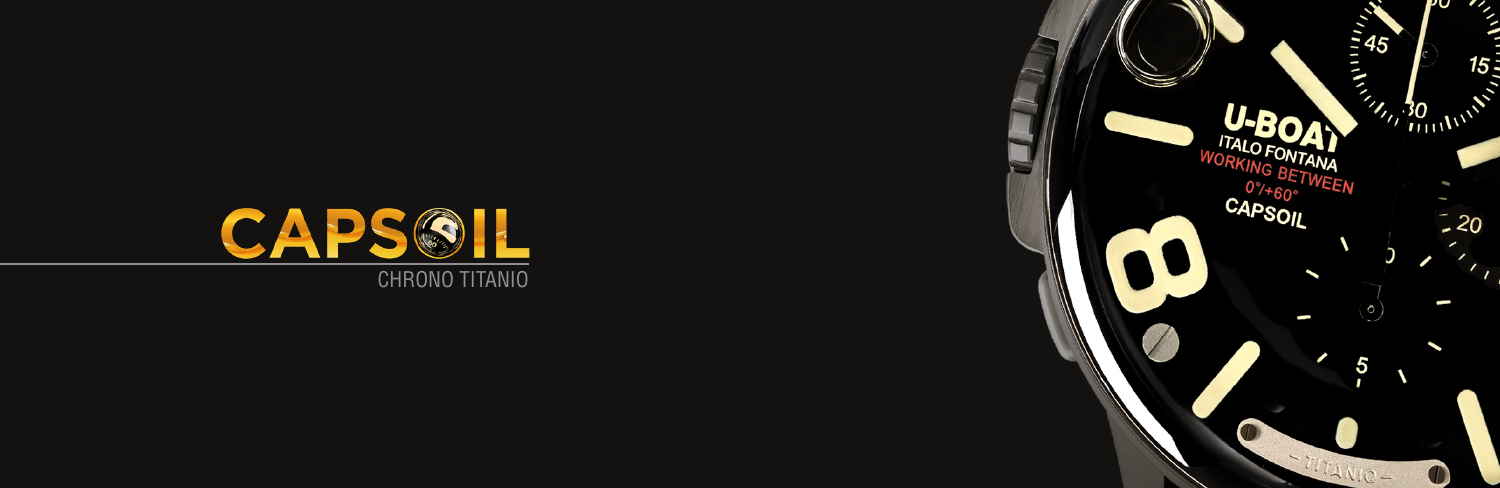

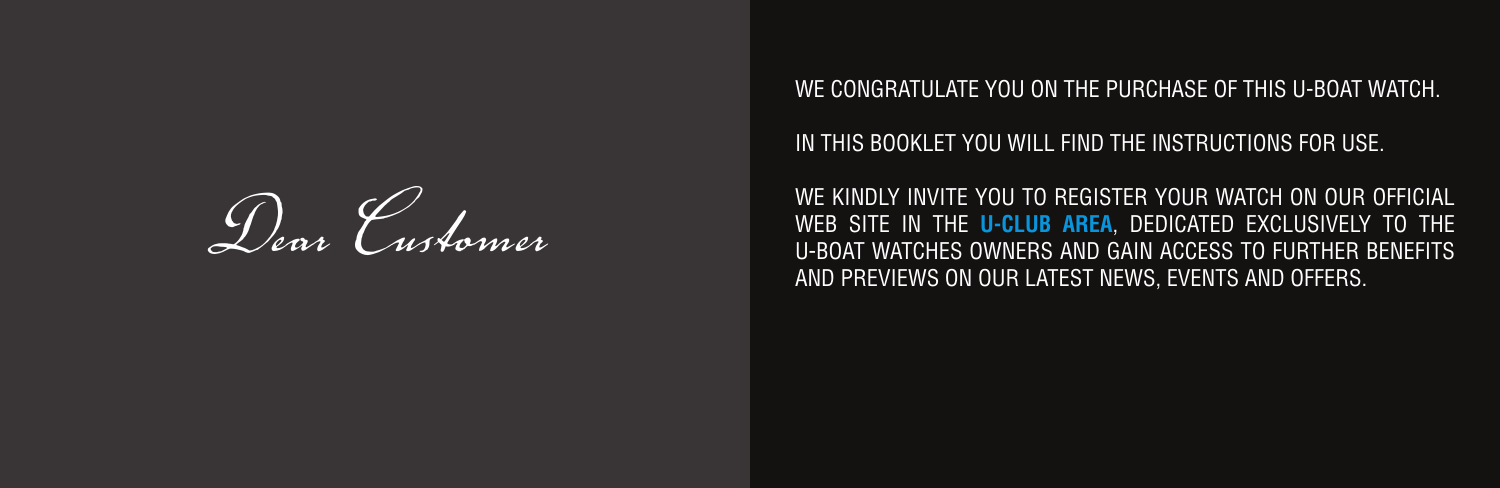*Dear Customer*

WE CONGRATULATE YOU ON THE PURCHASE OF THIS U-BOAT WATCH.

IN THIS BOOKLET YOU WILL FIND THE INSTRUCTIONS FOR USE.

WE KINDLY INVITE YOU TO REGISTER YOUR WATCH ON OUR OFFICIAL WEB SITE IN THE **[U-CLUB AREA](https://www.uboatwatch.com/u-club/)**, DEDICATED EXCLUSIVELY TO THE U-BOAT WATCHES OWNERS AND GAIN ACCESS TO FURTHER BENEFITS AND PREVIEWS ON OUR LATEST NEWS, EVENTS AND OFFERS.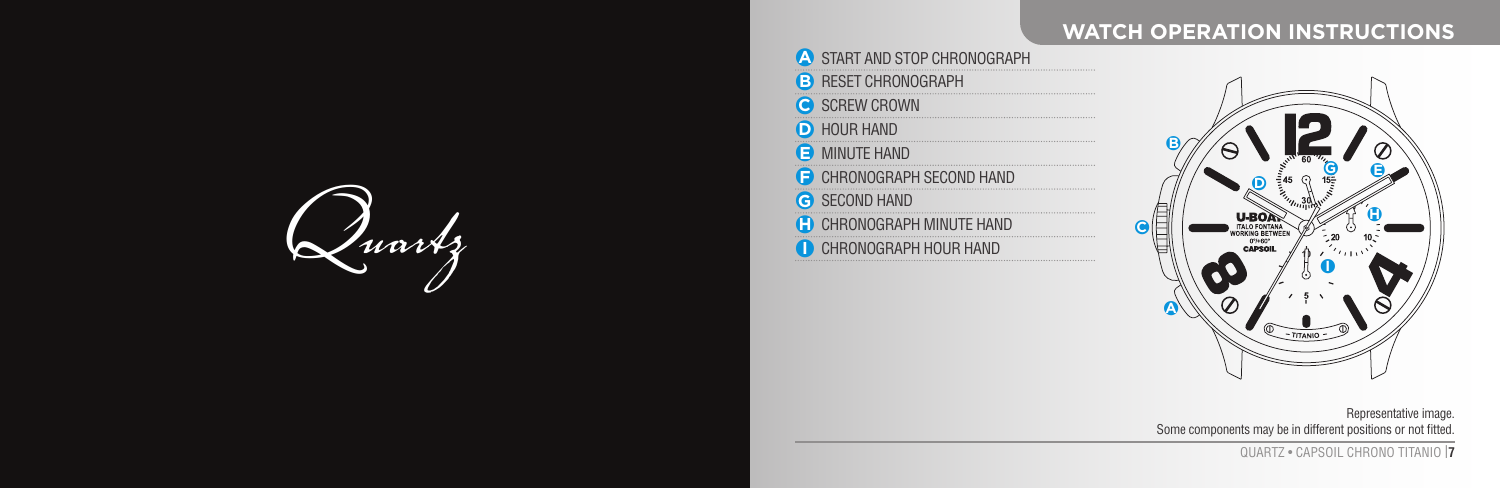## **WATCH OPERATION INSTRUCTIONS**



| <b>A START AND STOP CHRONOGRAPH</b> |
|-------------------------------------|
| <b>B</b> RESET CHRONOGRAPH          |
| <b>C</b> SCREW CROWN                |
| <b>D</b> HOUR HAND                  |
| <b>B</b> MINUTE HAND                |
| CHRONOGRAPH SECOND HAND             |
| <b>G</b> SECOND HAND                |
| <b>CHRONOGRAPH MINUTE HAND</b>      |
| CHRONOGRAPH HOUR HAND               |
|                                     |

**ON** START AND STOP CHRONOGRAPHS



Representative image. Some components may be in different positions or not fitted.

QUARTZ • CAPSOIL CHRONO TITANIO I**7**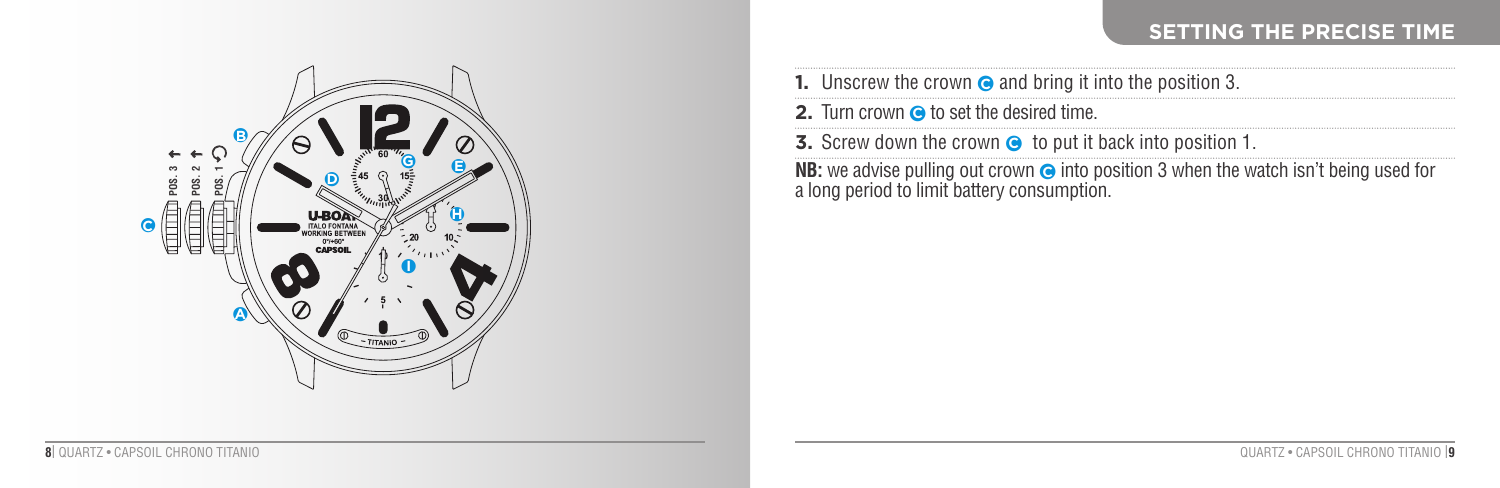### **SETTING THE PRECISE TIME**



|                                                                                                                                                | <b>1.</b> Unscrew the crown $\odot$ and bring it into the position 3.  |  |  |  |  |
|------------------------------------------------------------------------------------------------------------------------------------------------|------------------------------------------------------------------------|--|--|--|--|
|                                                                                                                                                | <b>2.</b> Turn crown $\bullet$ to set the desired time.                |  |  |  |  |
|                                                                                                                                                | <b>3.</b> Screw down the crown $\odot$ to put it back into position 1. |  |  |  |  |
| <b>NB:</b> we advise pulling out crown $\odot$ into position 3 when the watch isn't being used for a long period to limit battery consumption. |                                                                        |  |  |  |  |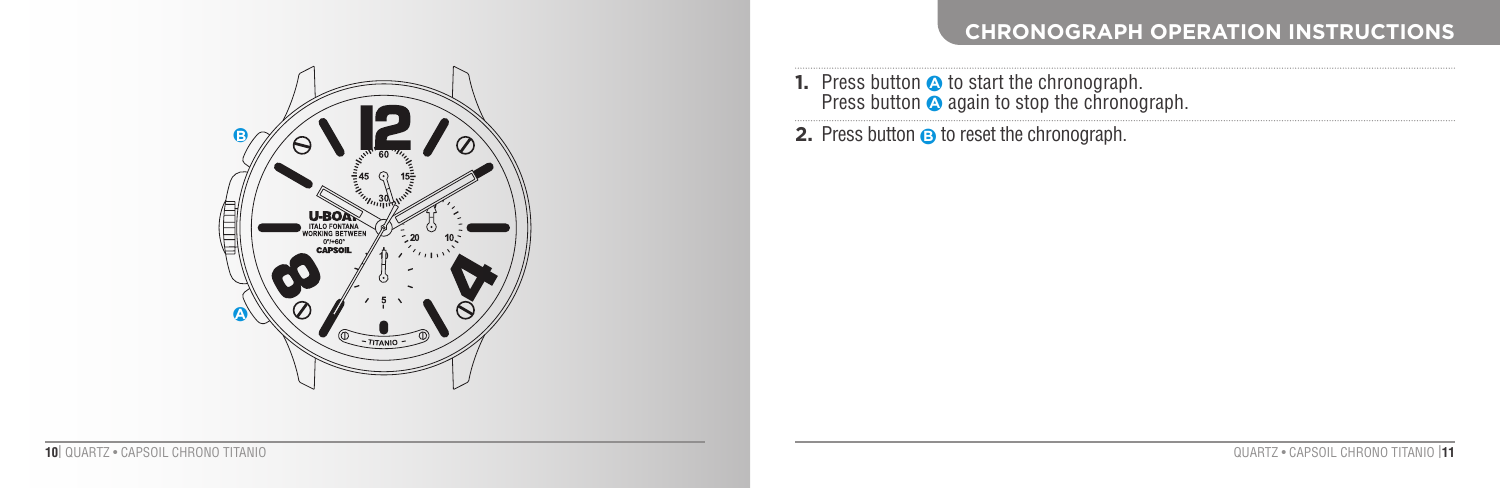# ●**B**Œ **10** ●**A**

#### **CHRONOGRAPH OPERATION INSTRUCTIONS**

**1.** Press button  $\bullet$  to start the chronograph.<br>Press button  $\bullet$  again to stop the chronograph.

**2.** Press button **☉** to reset the chronograph.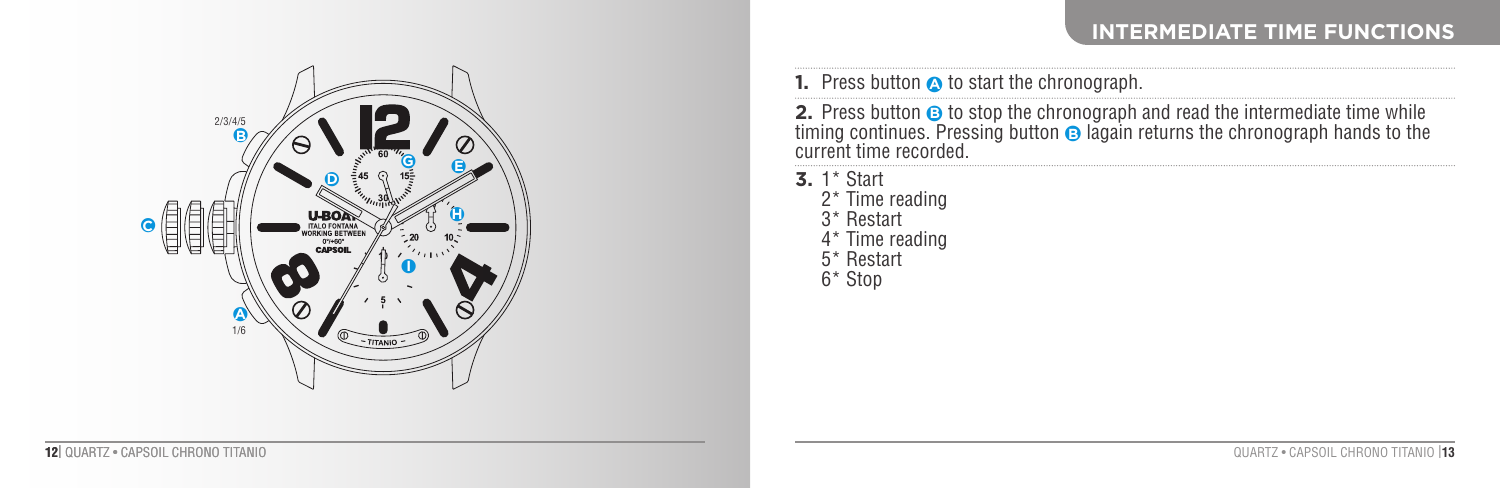#### **INTERMEDIATE TIME FUNCTIONS**



|  |  |  |  |  |  |  | <b>1.</b> Press button <b>a</b> to start the chronograph. |
|--|--|--|--|--|--|--|-----------------------------------------------------------|
|--|--|--|--|--|--|--|-----------------------------------------------------------|

**2.** Press button **⊙** to stop the chronograph and read the intermediate time while<br>timing continues. Pressing button **⊙** lagain returns the chronograph hands to the current time recorded.

**3.** 1\* Start 2\* Time reading 3\* Restart 4\* Time reading 5\* Restart 6\* Stop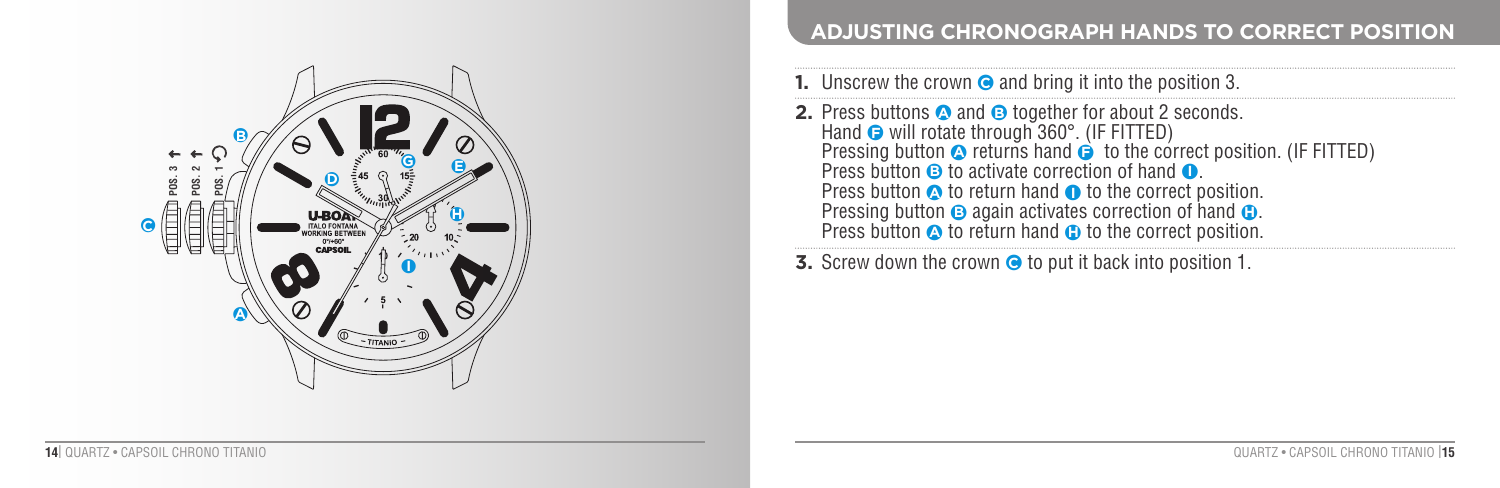

#### **ADJUSTING CHRONOGRAPH HANDS TO CORRECT POSITION**

| <b>1.</b> Unscrew the crown $\odot$ and bring it into the position 3.                                                                                                                                                                                                                                                                                                                                                                                                                                                                      |
|--------------------------------------------------------------------------------------------------------------------------------------------------------------------------------------------------------------------------------------------------------------------------------------------------------------------------------------------------------------------------------------------------------------------------------------------------------------------------------------------------------------------------------------------|
| <b>2.</b> Press buttons <b>a</b> and <b>B</b> together for about 2 seconds.<br>Hand $\odot$ will rotate through 360 $^{\circ}$ . (IF FITTED)<br>Pressing button $\bullet$ returns hand $\bullet$ to the correct position. (IF FITTED)<br>Press button $\Theta$ to activate correction of hand $\Omega$ .<br>Press button $\bullet$ to return hand $\bullet$ to the correct position.<br>Pressing button $\Theta$ again activates correction of hand $\Theta$ .<br>Press button $\bullet$ to return hand $\bullet$ to the correct position. |
| ♥ - Outrosis alumna Alex approva ∧ Alexand (Alexandriada provativa el                                                                                                                                                                                                                                                                                                                                                                                                                                                                      |

**3.** Screw down the crown  $\odot$  to put it back into position 1.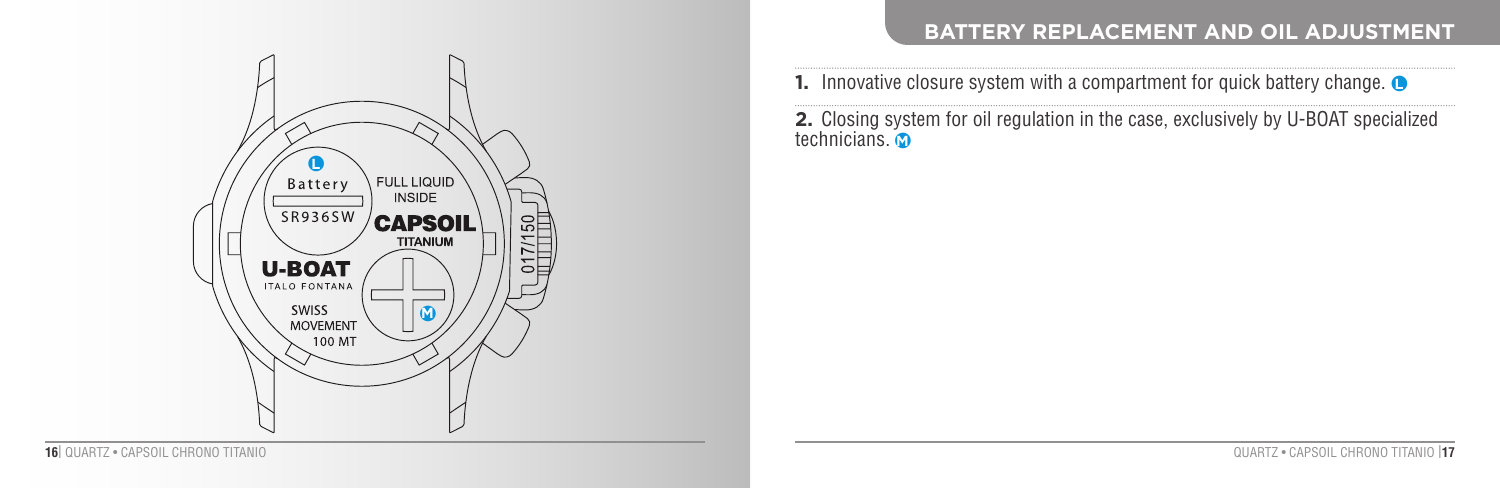

1. Innovative closure system with a compartment for quick battery change. **●** 

**2.** Closing system for oil regulation in the case, exclusively by U-BOAT specialized technicians. ● **M**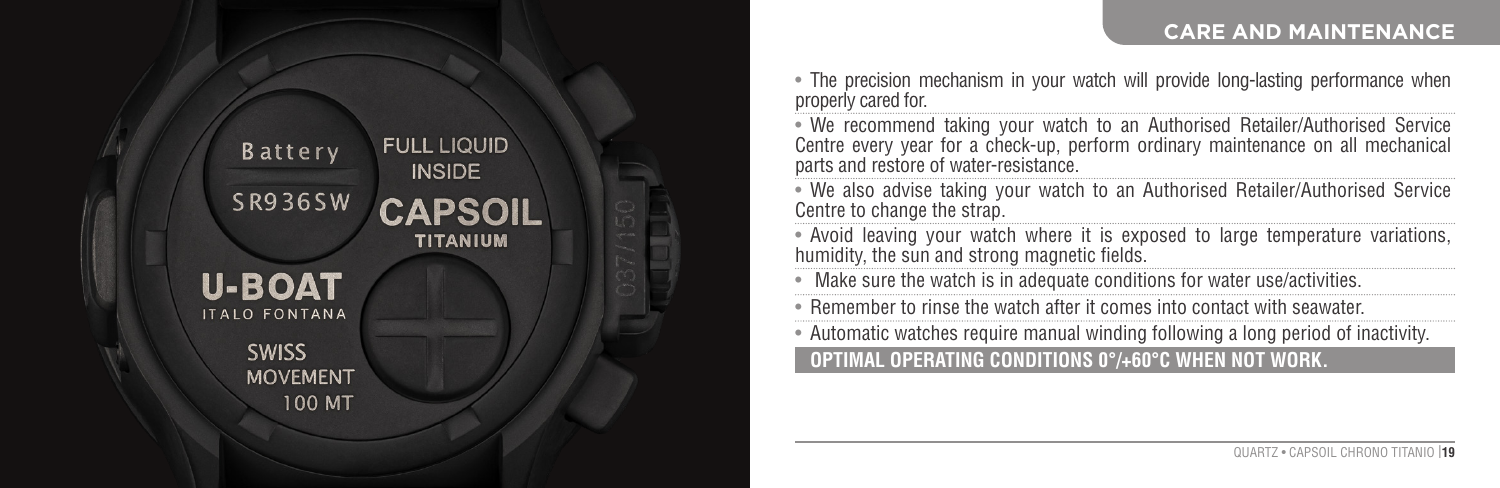#### **CARE AND MAINTENANCE**



• The precision mechanism in your watch will provide long-lasting performance when properly cared for

• We recommend taking your watch to an Authorised Retailer/Authorised Service Centre every year for a check-up, perform ordinary maintenance on all mechanical parts and restore of water-resistance.

• We also advise taking your watch to an Authorised Retailer/Authorised Service Centre to change the strap.

• Avoid leaving your watch where it is exposed to large temperature variations, humidity, the sun and strong magnetic fields.

Make sure the watch is in adequate conditions for water use/activities.

• Remember to rinse the watch after it comes into contact with seawater.

• Automatic watches require manual winding following a long period of inactivity.

**OPTIMAL OPERATING CONDITIONS 0°/+60°C WHEN NOT WORK.**